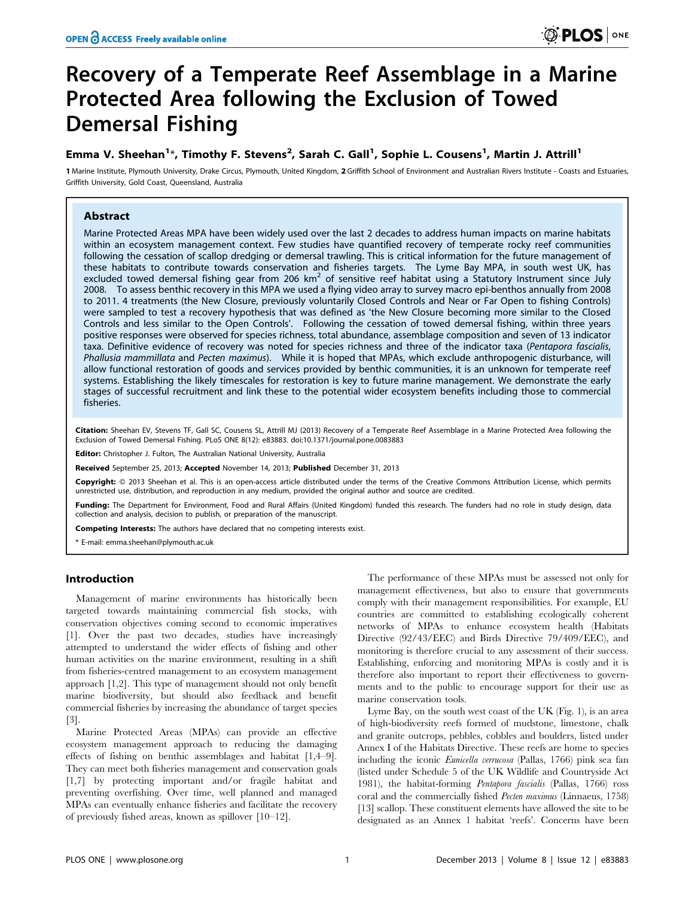# Recovery of a Temperate Reef Assemblage in a Marine Protected Area following the Exclusion of Towed Demersal Fishing

# Emma V. Sheehan<sup>1\*</sup>, Timothy F. Stevens<sup>2</sup>, Sarah C. Gall<sup>1</sup>, Sophie L. Cousens<sup>1</sup>, Martin J. Attrill<sup>1</sup>

1 Marine Institute, Plymouth University, Drake Circus, Plymouth, United Kingdom, 2 Griffith School of Environment and Australian Rivers Institute - Coasts and Estuaries, Griffith University, Gold Coast, Queensland, Australia

# Abstract

Marine Protected Areas MPA have been widely used over the last 2 decades to address human impacts on marine habitats within an ecosystem management context. Few studies have quantified recovery of temperate rocky reef communities following the cessation of scallop dredging or demersal trawling. This is critical information for the future management of these habitats to contribute towards conservation and fisheries targets. The Lyme Bay MPA, in south west UK, has excluded towed demersal fishing gear from 206  $km^2$  of sensitive reef habitat using a Statutory Instrument since July 2008. To assess benthic recovery in this MPA we used a flying video array to survey macro epi-benthos annually from 2008 to 2011. 4 treatments (the New Closure, previously voluntarily Closed Controls and Near or Far Open to fishing Controls) were sampled to test a recovery hypothesis that was defined as 'the New Closure becoming more similar to the Closed Controls and less similar to the Open Controls'. Following the cessation of towed demersal fishing, within three years positive responses were observed for species richness, total abundance, assemblage composition and seven of 13 indicator taxa. Definitive evidence of recovery was noted for species richness and three of the indicator taxa (Pentapora fascialis, Phallusia mammillata and Pecten maximus). While it is hoped that MPAs, which exclude anthropogenic disturbance, will allow functional restoration of goods and services provided by benthic communities, it is an unknown for temperate reef systems. Establishing the likely timescales for restoration is key to future marine management. We demonstrate the early stages of successful recruitment and link these to the potential wider ecosystem benefits including those to commercial fisheries.

Citation: Sheehan EV, Stevens TF, Gall SC, Cousens SL, Attrill MJ (2013) Recovery of a Temperate Reef Assemblage in a Marine Protected Area following the Exclusion of Towed Demersal Fishing. PLoS ONE 8(12): e83883. doi:10.1371/journal.pone.0083883

Editor: Christopher J. Fulton, The Australian National University, Australia

Received September 25, 2013; Accepted November 14, 2013; Published December 31, 2013

Copyright: © 2013 Sheehan et al. This is an open-access article distributed under the terms of the Creative Commons Attribution License, which permits unrestricted use, distribution, and reproduction in any medium, provided the original author and source are credited.

Funding: The Department for Environment, Food and Rural Affairs (United Kingdom) funded this research. The funders had no role in study design, data collection and analysis, decision to publish, or preparation of the manuscript.

Competing Interests: The authors have declared that no competing interests exist.

\* E-mail: emma.sheehan@plymouth.ac.uk

# Introduction

Management of marine environments has historically been targeted towards maintaining commercial fish stocks, with conservation objectives coming second to economic imperatives [1]. Over the past two decades, studies have increasingly attempted to understand the wider effects of fishing and other human activities on the marine environment, resulting in a shift from fisheries-centred management to an ecosystem management approach [1,2]. This type of management should not only benefit marine biodiversity, but should also feedback and benefit commercial fisheries by increasing the abundance of target species  $|3|$ .

Marine Protected Areas (MPAs) can provide an effective ecosystem management approach to reducing the damaging effects of fishing on benthic assemblages and habitat [1,4–9]. They can meet both fisheries management and conservation goals [1,7] by protecting important and/or fragile habitat and preventing overfishing. Over time, well planned and managed MPAs can eventually enhance fisheries and facilitate the recovery of previously fished areas, known as spillover [10–12].

The performance of these MPAs must be assessed not only for management effectiveness, but also to ensure that governments comply with their management responsibilities. For example, EU countries are committed to establishing ecologically coherent networks of MPAs to enhance ecosystem health (Habitats Directive (92/43/EEC) and Birds Directive 79/409/EEC), and monitoring is therefore crucial to any assessment of their success. Establishing, enforcing and monitoring MPAs is costly and it is therefore also important to report their effectiveness to governments and to the public to encourage support for their use as marine conservation tools.

Lyme Bay, on the south west coast of the UK (Fig. 1), is an area of high-biodiversity reefs formed of mudstone, limestone, chalk and granite outcrops, pebbles, cobbles and boulders, listed under Annex I of the Habitats Directive. These reefs are home to species including the iconic Eunicella verrucosa (Pallas, 1766) pink sea fan (listed under Schedule 5 of the UK Wildlife and Countryside Act 1981), the habitat-forming Pentapora fascialis (Pallas, 1766) ross coral and the commercially fished Pecten maximus (Linnaeus, 1758) [13] scallop. These constituent elements have allowed the site to be designated as an Annex 1 habitat 'reefs'. Concerns have been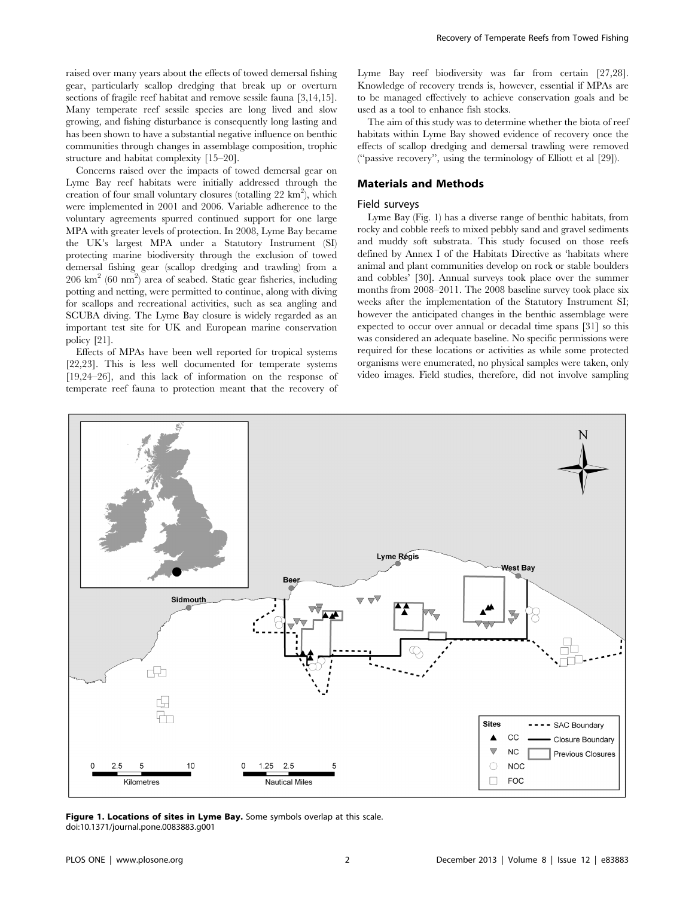raised over many years about the effects of towed demersal fishing gear, particularly scallop dredging that break up or overturn sections of fragile reef habitat and remove sessile fauna [3,14,15]. Many temperate reef sessile species are long lived and slow growing, and fishing disturbance is consequently long lasting and has been shown to have a substantial negative influence on benthic communities through changes in assemblage composition, trophic structure and habitat complexity [15–20].

Concerns raised over the impacts of towed demersal gear on Lyme Bay reef habitats were initially addressed through the creation of four small voluntary closures (totalling  $22 \text{ km}^2$ ), which were implemented in 2001 and 2006. Variable adherence to the voluntary agreements spurred continued support for one large MPA with greater levels of protection. In 2008, Lyme Bay became the UK's largest MPA under a Statutory Instrument (SI) protecting marine biodiversity through the exclusion of towed demersal fishing gear (scallop dredging and trawling) from a  $206 \text{ km}^2$  (60 nm<sup>2</sup>) area of seabed. Static gear fisheries, including potting and netting, were permitted to continue, along with diving for scallops and recreational activities, such as sea angling and SCUBA diving. The Lyme Bay closure is widely regarded as an important test site for UK and European marine conservation policy [21].

Effects of MPAs have been well reported for tropical systems [22,23]. This is less well documented for temperate systems [19,24–26], and this lack of information on the response of temperate reef fauna to protection meant that the recovery of Lyme Bay reef biodiversity was far from certain [27,28]. Knowledge of recovery trends is, however, essential if MPAs are to be managed effectively to achieve conservation goals and be used as a tool to enhance fish stocks.

The aim of this study was to determine whether the biota of reef habitats within Lyme Bay showed evidence of recovery once the effects of scallop dredging and demersal trawling were removed (''passive recovery'', using the terminology of Elliott et al [29]).

# Materials and Methods

#### Field surveys

Lyme Bay (Fig. 1) has a diverse range of benthic habitats, from rocky and cobble reefs to mixed pebbly sand and gravel sediments and muddy soft substrata. This study focused on those reefs defined by Annex I of the Habitats Directive as 'habitats where animal and plant communities develop on rock or stable boulders and cobbles' [30]. Annual surveys took place over the summer months from 2008–2011. The 2008 baseline survey took place six weeks after the implementation of the Statutory Instrument SI; however the anticipated changes in the benthic assemblage were expected to occur over annual or decadal time spans [31] so this was considered an adequate baseline. No specific permissions were required for these locations or activities as while some protected organisms were enumerated, no physical samples were taken, only video images. Field studies, therefore, did not involve sampling



Figure 1. Locations of sites in Lyme Bay. Some symbols overlap at this scale. doi:10.1371/journal.pone.0083883.g001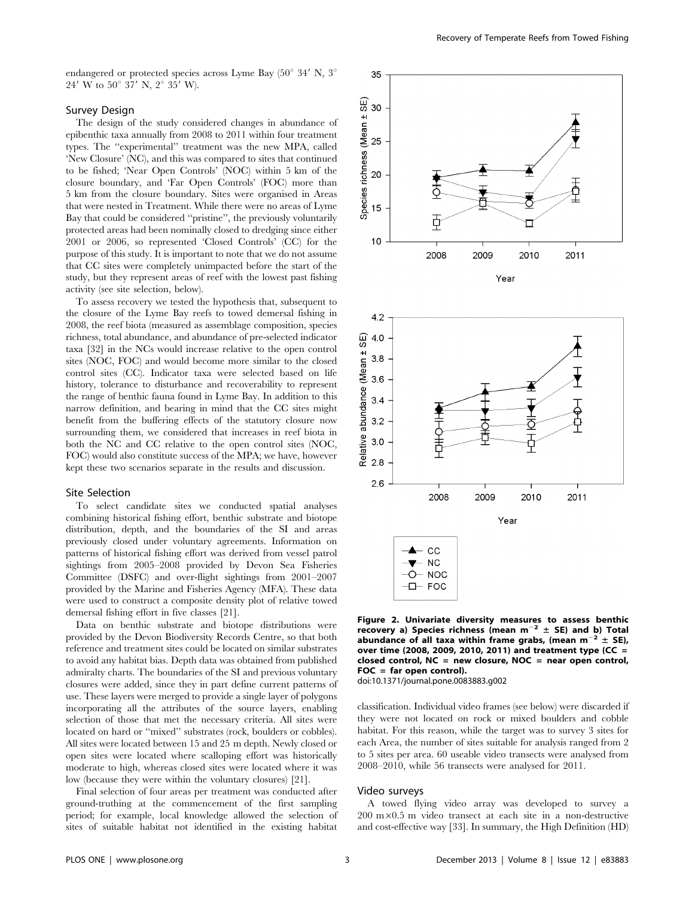endangered or protected species across Lyme Bay  $(50^{\circ} 34' N, 3^{\circ}$  $24'$  W to  $50^{\circ}$  37' N,  $2^{\circ}$  35' W).

# Survey Design

The design of the study considered changes in abundance of epibenthic taxa annually from 2008 to 2011 within four treatment types. The ''experimental'' treatment was the new MPA, called 'New Closure' (NC), and this was compared to sites that continued to be fished; 'Near Open Controls' (NOC) within 5 km of the closure boundary, and 'Far Open Controls' (FOC) more than 5 km from the closure boundary. Sites were organised in Areas that were nested in Treatment. While there were no areas of Lyme Bay that could be considered ''pristine'', the previously voluntarily protected areas had been nominally closed to dredging since either 2001 or 2006, so represented 'Closed Controls' (CC) for the purpose of this study. It is important to note that we do not assume that CC sites were completely unimpacted before the start of the study, but they represent areas of reef with the lowest past fishing activity (see site selection, below).

To assess recovery we tested the hypothesis that, subsequent to the closure of the Lyme Bay reefs to towed demersal fishing in 2008, the reef biota (measured as assemblage composition, species richness, total abundance, and abundance of pre-selected indicator taxa [32] in the NCs would increase relative to the open control sites (NOC, FOC) and would become more similar to the closed control sites (CC). Indicator taxa were selected based on life history, tolerance to disturbance and recoverability to represent the range of benthic fauna found in Lyme Bay. In addition to this narrow definition, and bearing in mind that the CC sites might benefit from the buffering effects of the statutory closure now surrounding them, we considered that increases in reef biota in both the NC and CC relative to the open control sites (NOC, FOC) would also constitute success of the MPA; we have, however kept these two scenarios separate in the results and discussion.

#### Site Selection

To select candidate sites we conducted spatial analyses combining historical fishing effort, benthic substrate and biotope distribution, depth, and the boundaries of the SI and areas previously closed under voluntary agreements. Information on patterns of historical fishing effort was derived from vessel patrol sightings from 2005–2008 provided by Devon Sea Fisheries Committee (DSFC) and over-flight sightings from 2001–2007 provided by the Marine and Fisheries Agency (MFA). These data were used to construct a composite density plot of relative towed demersal fishing effort in five classes [21].

Data on benthic substrate and biotope distributions were provided by the Devon Biodiversity Records Centre, so that both reference and treatment sites could be located on similar substrates to avoid any habitat bias. Depth data was obtained from published admiralty charts. The boundaries of the SI and previous voluntary closures were added, since they in part define current patterns of use. These layers were merged to provide a single layer of polygons incorporating all the attributes of the source layers, enabling selection of those that met the necessary criteria. All sites were located on hard or ''mixed'' substrates (rock, boulders or cobbles). All sites were located between 15 and 25 m depth. Newly closed or open sites were located where scalloping effort was historically moderate to high, whereas closed sites were located where it was low (because they were within the voluntary closures) [21].

Final selection of four areas per treatment was conducted after ground-truthing at the commencement of the first sampling period; for example, local knowledge allowed the selection of sites of suitable habitat not identified in the existing habitat





Figure 2. Univariate diversity measures to assess benthic recovery a) Species richness (mean  $m^{-2} \pm$  SE) and b) Total abundance of all taxa within frame grabs, (mean  $m^{-2} \pm SE$ ), over time (2008, 2009, 2010, 2011) and treatment type (CC = closed control,  $NC = new closure$ ,  $NOC = near open control$ , FOC = far open control).

doi:10.1371/journal.pone.0083883.g002

classification. Individual video frames (see below) were discarded if they were not located on rock or mixed boulders and cobble habitat. For this reason, while the target was to survey 3 sites for each Area, the number of sites suitable for analysis ranged from 2 to 5 sites per area. 60 useable video transects were analysed from 2008–2010, while 56 transects were analysed for 2011.

# Video surveys

A towed flying video array was developed to survey a  $200 \text{ m} \times 0.5 \text{ m}$  video transect at each site in a non-destructive and cost-effective way [33]. In summary, the High Definition (HD)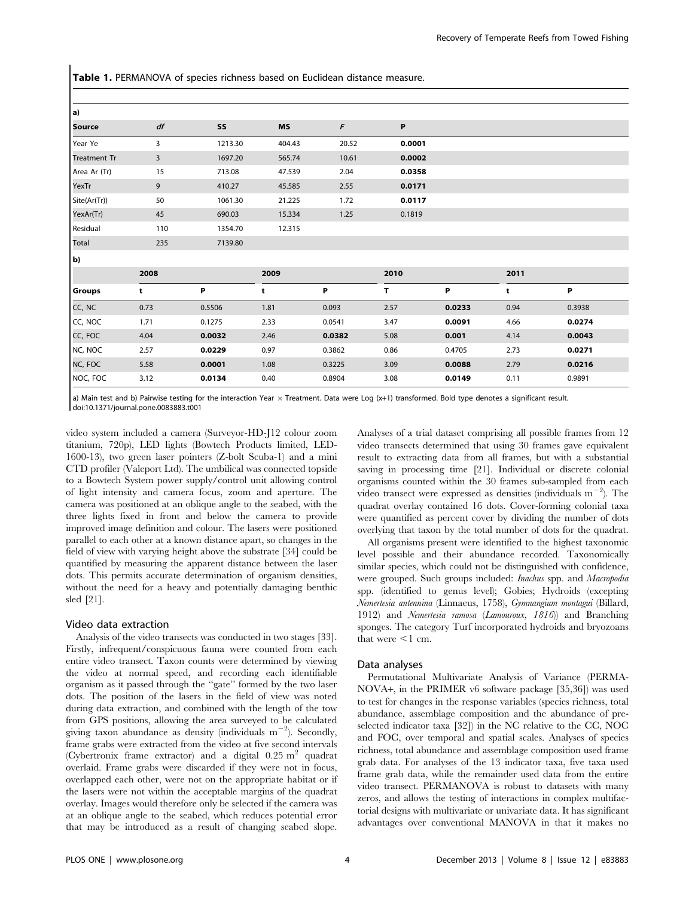Table 1. PERMANOVA of species richness based on Euclidean distance measure.

| a)                  |      |         |        |        |        |        |      |        |
|---------------------|------|---------|--------|--------|--------|--------|------|--------|
| <b>Source</b>       | df   | SS      | MS     | F      | P      |        |      |        |
| Year Ye             | 3    | 1213.30 | 404.43 | 20.52  | 0.0001 |        |      |        |
| <b>Treatment Tr</b> | 3    | 1697.20 | 565.74 | 10.61  | 0.0002 |        |      |        |
| Area Ar (Tr)        | 15   | 713.08  | 47.539 | 2.04   | 0.0358 |        |      |        |
| YexTr               | 9    | 410.27  | 45.585 | 2.55   | 0.0171 |        |      |        |
| Site(Ar(Tr))        | 50   | 1061.30 | 21.225 | 1.72   | 0.0117 |        |      |        |
| YexAr(Tr)           | 45   | 690.03  | 15.334 | 1.25   | 0.1819 |        |      |        |
| Residual            | 110  | 1354.70 | 12.315 |        |        |        |      |        |
| Total               | 235  | 7139.80 |        |        |        |        |      |        |
| b)                  |      |         |        |        |        |        |      |        |
|                     | 2008 |         | 2009   |        | 2010   |        | 2011 |        |
| Groups              | t    | P       | t      | Ρ      | т      | P      | t    | P      |
| CC, NC              | 0.73 | 0.5506  | 1.81   | 0.093  | 2.57   | 0.0233 | 0.94 | 0.3938 |
| CC, NOC             | 1.71 | 0.1275  | 2.33   | 0.0541 | 3.47   | 0.0091 | 4.66 | 0.0274 |
| CC, FOC             | 4.04 | 0.0032  | 2.46   | 0.0382 | 5.08   | 0.001  | 4.14 | 0.0043 |
| NC, NOC             | 2.57 | 0.0229  | 0.97   | 0.3862 | 0.86   | 0.4705 | 2.73 | 0.0271 |
| NC, FOC             | 5.58 | 0.0001  | 1.08   | 0.3225 | 3.09   | 0.0088 | 2.79 | 0.0216 |
| NOC, FOC            | 3.12 | 0.0134  | 0.40   | 0.8904 | 3.08   | 0.0149 | 0.11 | 0.9891 |

a) Main test and b) Pairwise testing for the interaction Year  $\times$  Treatment. Data were Log (x+1) transformed. Bold type denotes a significant result. doi:10.1371/journal.pone.0083883.t001

video system included a camera (Surveyor-HD-J12 colour zoom titanium, 720p), LED lights (Bowtech Products limited, LED-1600-13), two green laser pointers (Z-bolt Scuba-1) and a mini CTD profiler (Valeport Ltd). The umbilical was connected topside to a Bowtech System power supply/control unit allowing control of light intensity and camera focus, zoom and aperture. The camera was positioned at an oblique angle to the seabed, with the three lights fixed in front and below the camera to provide improved image definition and colour. The lasers were positioned parallel to each other at a known distance apart, so changes in the field of view with varying height above the substrate [34] could be quantified by measuring the apparent distance between the laser dots. This permits accurate determination of organism densities, without the need for a heavy and potentially damaging benthic sled [21].

#### Video data extraction

Analysis of the video transects was conducted in two stages [33]. Firstly, infrequent/conspicuous fauna were counted from each entire video transect. Taxon counts were determined by viewing the video at normal speed, and recording each identifiable organism as it passed through the ''gate'' formed by the two laser dots. The position of the lasers in the field of view was noted during data extraction, and combined with the length of the tow from GPS positions, allowing the area surveyed to be calculated giving taxon abundance as density (individuals  $m^{-2}$ ). Secondly, frame grabs were extracted from the video at five second intervals (Cybertronix frame extractor) and a digital  $0.25 \text{ m}^2$  quadrat overlaid. Frame grabs were discarded if they were not in focus, overlapped each other, were not on the appropriate habitat or if the lasers were not within the acceptable margins of the quadrat overlay. Images would therefore only be selected if the camera was at an oblique angle to the seabed, which reduces potential error that may be introduced as a result of changing seabed slope.

Analyses of a trial dataset comprising all possible frames from 12 video transects determined that using 30 frames gave equivalent result to extracting data from all frames, but with a substantial saving in processing time [21]. Individual or discrete colonial organisms counted within the 30 frames sub-sampled from each video transect were expressed as densities (individuals  $m^{-2}$ ). The quadrat overlay contained 16 dots. Cover-forming colonial taxa were quantified as percent cover by dividing the number of dots overlying that taxon by the total number of dots for the quadrat.

All organisms present were identified to the highest taxonomic level possible and their abundance recorded. Taxonomically similar species, which could not be distinguished with confidence, were grouped. Such groups included: Inachus spp. and Macropodia spp. (identified to genus level); Gobies; Hydroids (excepting Nemertesia antennina (Linnaeus, 1758), Gymnangium montagui (Billard, 1912) and Nemertesia ramosa (Lamouroux, 1816)) and Branching sponges. The category Turf incorporated hydroids and bryozoans that were  $\leq$ 1 cm.

#### Data analyses

Permutational Multivariate Analysis of Variance (PERMA-NOVA+, in the PRIMER v6 software package [35,36]) was used to test for changes in the response variables (species richness, total abundance, assemblage composition and the abundance of preselected indicator taxa [32]) in the NC relative to the CC, NOC and FOC, over temporal and spatial scales. Analyses of species richness, total abundance and assemblage composition used frame grab data. For analyses of the 13 indicator taxa, five taxa used frame grab data, while the remainder used data from the entire video transect. PERMANOVA is robust to datasets with many zeros, and allows the testing of interactions in complex multifactorial designs with multivariate or univariate data. It has significant advantages over conventional MANOVA in that it makes no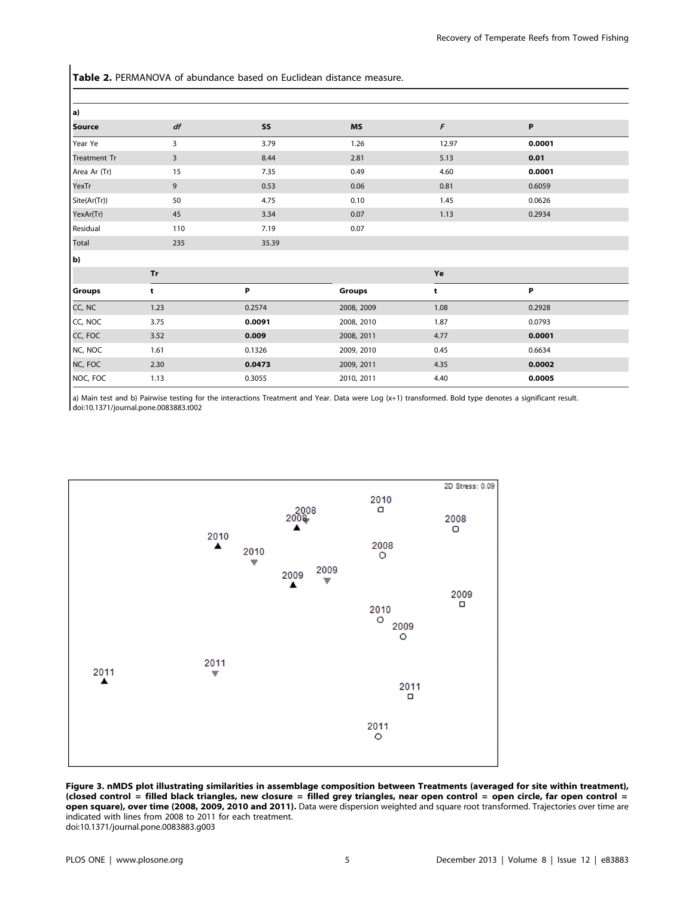Table 2. PERMANOVA of abundance based on Euclidean distance measure.

| a)                  |                |        |            |       |        |
|---------------------|----------------|--------|------------|-------|--------|
| <b>Source</b>       | df             | SS     | <b>MS</b>  | F     | P      |
| Year Ye             | 3              | 3.79   | 1.26       | 12.97 | 0.0001 |
| <b>Treatment Tr</b> | $\overline{3}$ | 8.44   | 2.81       | 5.13  | 0.01   |
| Area Ar (Tr)        | 15             | 7.35   | 0.49       | 4.60  | 0.0001 |
| YexTr               | 9              | 0.53   | 0.06       | 0.81  | 0.6059 |
| Site(Ar(Tr))        | 50             | 4.75   | 0.10       | 1.45  | 0.0626 |
| YexAr(Tr)           | 45             | 3.34   | 0.07       | 1.13  | 0.2934 |
| Residual            | 110            | 7.19   | 0.07       |       |        |
| Total               | 235            | 35.39  |            |       |        |
| b)                  |                |        |            |       |        |
|                     | Tr             |        |            | Ye    |        |
| Groups              | t              | Ρ      | Groups     | t     | P      |
| CC, NC              | 1.23           | 0.2574 | 2008, 2009 | 1.08  | 0.2928 |
| CC, NOC             | 3.75           | 0.0091 | 2008, 2010 | 1.87  | 0.0793 |
| CC, FOC             | 3.52           | 0.009  | 2008, 2011 | 4.77  | 0.0001 |
| NC, NOC             | 1.61           | 0.1326 | 2009, 2010 | 0.45  | 0.6634 |
| NC, FOC             | 2.30           | 0.0473 | 2009, 2011 | 4.35  | 0.0002 |
| NOC, FOC            | 1.13           | 0.3055 | 2010, 2011 | 4.40  | 0.0005 |

a) Main test and b) Pairwise testing for the interactions Treatment and Year. Data were Log (x+1) transformed. Bold type denotes a significant result. doi:10.1371/journal.pone.0083883.t002



Figure 3. nMDS plot illustrating similarities in assemblage composition between Treatments (averaged for site within treatment), (closed control = filled black triangles, new closure = filled grey triangles, near open control = open circle, far open control = open square), over time (2008, 2009, 2010 and 2011). Data were dispersion weighted and square root transformed. Trajectories over time are indicated with lines from 2008 to 2011 for each treatment. doi:10.1371/journal.pone.0083883.g003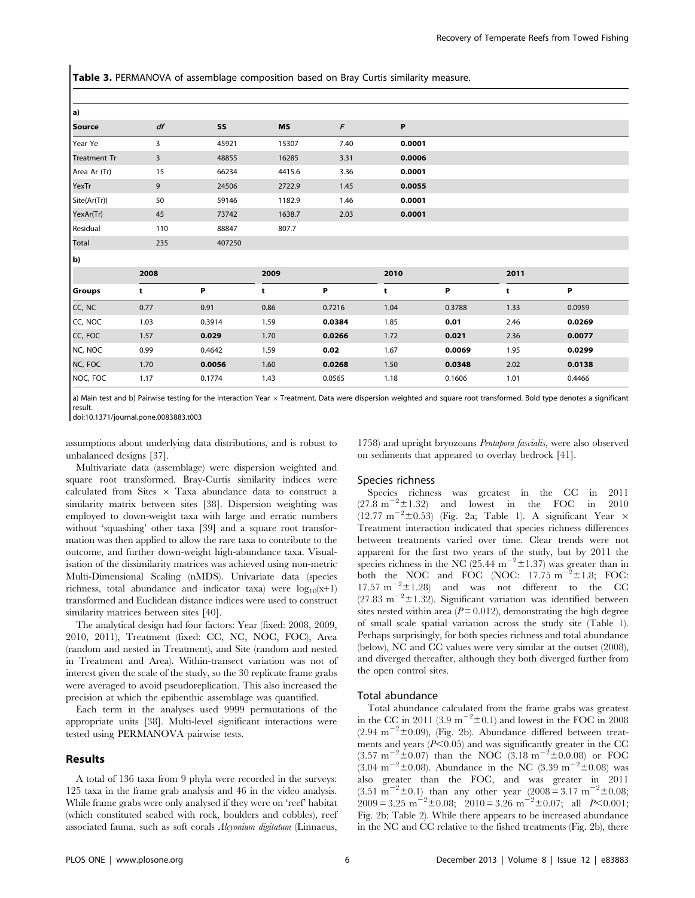Table 3. PERMANOVA of assemblage composition based on Bray Curtis similarity measure.

| a)                  |      |        |        |        |        |        |      |        |
|---------------------|------|--------|--------|--------|--------|--------|------|--------|
| <b>Source</b>       | df   | SS     | MS     | F      | P      |        |      |        |
| Year Ye             | 3    | 45921  | 15307  | 7.40   | 0.0001 |        |      |        |
| <b>Treatment Tr</b> | 3    | 48855  | 16285  | 3.31   | 0.0006 |        |      |        |
| Area Ar (Tr)        | 15   | 66234  | 4415.6 | 3.36   | 0.0001 |        |      |        |
| YexTr               | 9    | 24506  | 2722.9 | 1.45   | 0.0055 |        |      |        |
| Site(Ar(Tr))        | 50   | 59146  | 1182.9 | 1.46   | 0.0001 |        |      |        |
| YexAr(Tr)           | 45   | 73742  | 1638.7 | 2.03   | 0.0001 |        |      |        |
| Residual            | 110  | 88847  | 807.7  |        |        |        |      |        |
| Total               | 235  | 407250 |        |        |        |        |      |        |
| b)                  |      |        |        |        |        |        |      |        |
|                     | 2008 |        | 2009   |        | 2010   |        | 2011 |        |
| <b>Groups</b>       | t    | P      | t      | Ρ      | t      | P      | t    | P      |
| CC, NC              | 0.77 | 0.91   | 0.86   | 0.7216 | 1.04   | 0.3788 | 1.33 | 0.0959 |
| CC, NOC             | 1.03 | 0.3914 | 1.59   | 0.0384 | 1.85   | 0.01   | 2.46 | 0.0269 |
| CC, FOC             | 1.57 | 0.029  | 1.70   | 0.0266 | 1.72   | 0.021  | 2.36 | 0.0077 |
| NC, NOC             | 0.99 | 0.4642 | 1.59   | 0.02   | 1.67   | 0.0069 | 1.95 | 0.0299 |
| NC, FOC             | 1.70 | 0.0056 | 1.60   | 0.0268 | 1.50   | 0.0348 | 2.02 | 0.0138 |
| NOC, FOC            | 1.17 | 0.1774 | 1.43   | 0.0565 | 1.18   | 0.1606 | 1.01 | 0.4466 |

a) Main test and b) Pairwise testing for the interaction Year x Treatment. Data were dispersion weighted and square root transformed. Bold type denotes a significant result.

doi:10.1371/journal.pone.0083883.t003

assumptions about underlying data distributions, and is robust to unbalanced designs [37].

Multivariate data (assemblage) were dispersion weighted and square root transformed. Bray-Curtis similarity indices were calculated from Sites  $\times$  Taxa abundance data to construct a similarity matrix between sites [38]. Dispersion weighting was employed to down-weight taxa with large and erratic numbers without 'squashing' other taxa [39] and a square root transformation was then applied to allow the rare taxa to contribute to the outcome, and further down-weight high-abundance taxa. Visualisation of the dissimilarity matrices was achieved using non-metric Multi-Dimensional Scaling (nMDS). Univariate data (species richness, total abundance and indicator taxa) were  $log_{10}(x+1)$ transformed and Euclidean distance indices were used to construct similarity matrices between sites [40].

The analytical design had four factors: Year (fixed: 2008, 2009, 2010, 2011), Treatment (fixed: CC, NC, NOC, FOC), Area (random and nested in Treatment), and Site (random and nested in Treatment and Area). Within-transect variation was not of interest given the scale of the study, so the 30 replicate frame grabs were averaged to avoid pseudoreplication. This also increased the precision at which the epibenthic assemblage was quantified.

Each term in the analyses used 9999 permutations of the appropriate units [38]. Multi-level significant interactions were tested using PERMANOVA pairwise tests.

# Results

A total of 136 taxa from 9 phyla were recorded in the surveys: 125 taxa in the frame grab analysis and 46 in the video analysis. While frame grabs were only analysed if they were on 'reef' habitat (which constituted seabed with rock, boulders and cobbles), reef associated fauna, such as soft corals Alcyonium digitatum (Linnaeus,

1758) and upright bryozoans Pentapora fascialis, were also observed on sediments that appeared to overlay bedrock [41].

#### Species richness

Species richness was greatest in the CC in 2011  $(27.8 \text{ m}^{-2} \pm 1.32)$  and lowest in the FOC in 2010  $(12.77 \text{ m}^{-2} \pm 0.53)$  (Fig. 2a; Table 1). A significant Year  $\times$ Treatment interaction indicated that species richness differences between treatments varied over time. Clear trends were not apparent for the first two years of the study, but by 2011 the species richness in the NC  $(25.44 \text{ m}^{-2} \pm 1.37)$  was greater than in both the NOC and FOC (NOC:  $17.75 \text{ m}^{-2} \pm 1.8$ ; FOC: 17.57  $m^{-2} \pm 1.28$ ) and was not different to the CC  $(27.83 \text{ m}^{-2} \pm 1.32)$ . Significant variation was identified between sites nested within area  $(P=0.012)$ , demonstrating the high degree of small scale spatial variation across the study site (Table 1). Perhaps surprisingly, for both species richness and total abundance (below), NC and CC values were very similar at the outset (2008), and diverged thereafter, although they both diverged further from the open control sites.

#### Total abundance

Total abundance calculated from the frame grabs was greatest in the CC in 2011 (3.9 m<sup>-2</sup> $\pm$ 0.1) and lowest in the FOC in 2008  $(2.94 \text{ m}^{-2} \pm 0.09)$ , (Fig. 2b). Abundance differed between treatments and years  $(P<0.05)$  and was significantly greater in the CC  $(3.57 \text{ m}^{-2} \pm 0.07)$  than the NOC  $(3.18 \text{ m}^{-2} \pm 0.008)$  or FOC  $(3.04 \text{ m}^{-2} \pm 0.08)$ . Abundance in the NC  $(3.39 \text{ m}^{-2} \pm 0.08)$  was also greater than the FOC, and was greater in 2011  $(3.51 \text{ m}^{-2} \pm 0.1)$  than any other year  $(2008 = 3.17 \text{ m}^{-2} \pm 0.08)$ ;  $2009 = 3.25 \text{ m}^{-2} \pm 0.08;$   $2010 = 3.26 \text{ m}^{-2} \pm 0.07;$  all  $P < 0.001;$ Fig. 2b; Table 2). While there appears to be increased abundance in the NC and CC relative to the fished treatments (Fig. 2b), there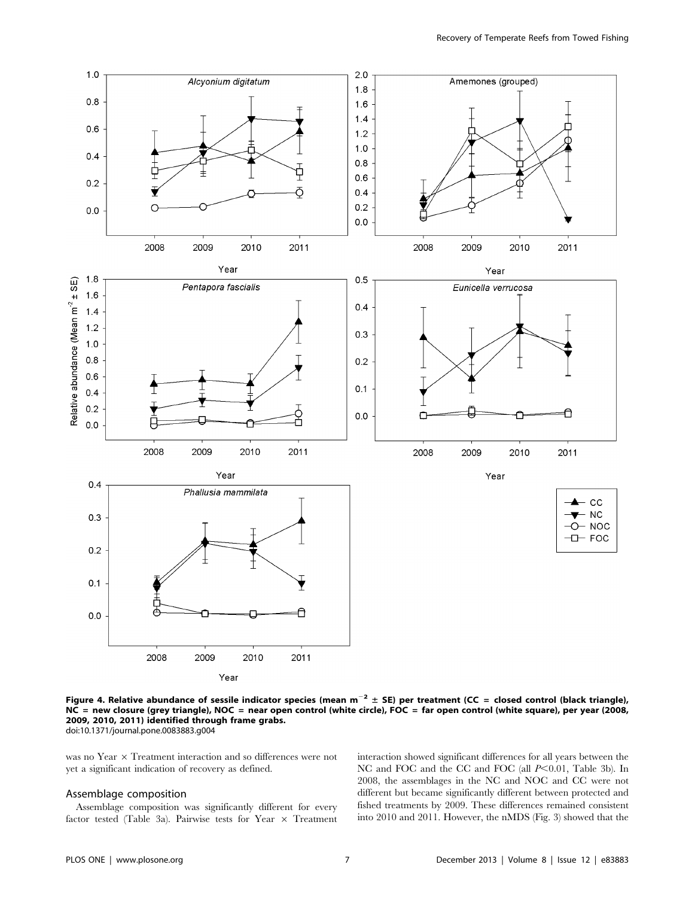

Figure 4. Relative abundance of sessile indicator species (mean  $m^{-2} \pm SE$ ) per treatment (CC = closed control (black triangle), NC = new closure (grey triangle), NOC = near open control (white circle), FOC = far open control (white square), per year (2008, 2009, 2010, 2011) identified through frame grabs. doi:10.1371/journal.pone.0083883.g004

was no Year  $\times$  Treatment interaction and so differences were not yet a significant indication of recovery as defined.

# Assemblage composition

Assemblage composition was significantly different for every factor tested (Table 3a). Pairwise tests for Year  $\times$  Treatment interaction showed significant differences for all years between the NC and FOC and the CC and FOC (all  $P<0.01$ , Table 3b). In 2008, the assemblages in the NC and NOC and CC were not different but became significantly different between protected and fished treatments by 2009. These differences remained consistent into 2010 and 2011. However, the nMDS (Fig. 3) showed that the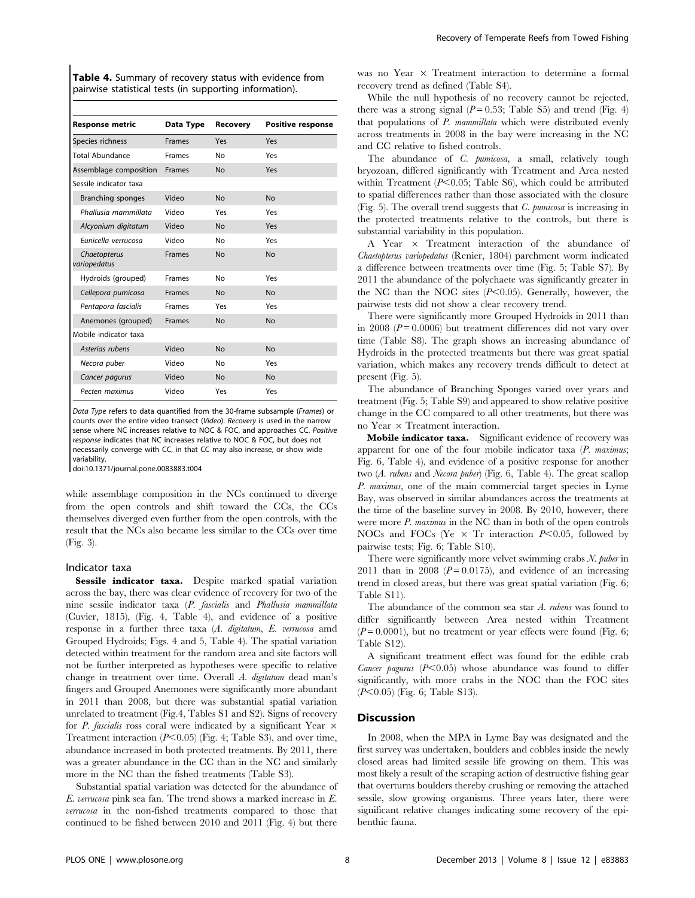Table 4. Summary of recovery status with evidence from pairwise statistical tests (in supporting information).

| <b>Response metric</b>       | Data Type     | Recovery  | <b>Positive response</b> |  |
|------------------------------|---------------|-----------|--------------------------|--|
| Species richness             | <b>Frames</b> | Yes       | Yes                      |  |
| Total Abundance              | <b>Frames</b> | No        | Yes                      |  |
| Assemblage composition       | <b>Frames</b> | <b>No</b> | Yes                      |  |
| Sessile indicator taxa       |               |           |                          |  |
| Branching sponges            | Video         | <b>No</b> | <b>No</b>                |  |
| Phallusia mammillata         | Video         | Yes       | Yes                      |  |
| Alcyonium digitatum          | Video         | <b>No</b> | Yes                      |  |
| Eunicella verrucosa          | Video         | No        | Yes                      |  |
| Chaetopterus<br>variopedatus | <b>Frames</b> | <b>No</b> | <b>No</b>                |  |
| Hydroids (grouped)           | <b>Frames</b> | No        | Yes                      |  |
| Cellepora pumicosa           | <b>Frames</b> | <b>No</b> | <b>No</b>                |  |
| Pentapora fascialis          | <b>Frames</b> | Yes       | Yes                      |  |
| Anemones (grouped)           | <b>Frames</b> | <b>No</b> | <b>No</b>                |  |
| Mobile indicator taxa        |               |           |                          |  |
| Asterias rubens              | Video         | <b>No</b> | <b>No</b>                |  |
| Necora puber                 | Video         | No        | Yes                      |  |
| Cancer pagurus               | Video         | <b>No</b> | <b>No</b>                |  |
| Pecten maximus               | Video         | Yes       | Yes                      |  |

Data Type refers to data quantified from the 30-frame subsample (Frames) or counts over the entire video transect (Video). Recovery is used in the narrow sense where NC increases relative to NOC & FOC, and approaches CC. Positive response indicates that NC increases relative to NOC & FOC, but does not necessarily converge with CC, in that CC may also increase, or show wide variability.

doi:10.1371/journal.pone.0083883.t004

while assemblage composition in the NCs continued to diverge from the open controls and shift toward the CCs, the CCs themselves diverged even further from the open controls, with the result that the NCs also became less similar to the CCs over time (Fig. 3).

### Indicator taxa

Sessile indicator taxa. Despite marked spatial variation across the bay, there was clear evidence of recovery for two of the nine sessile indicator taxa (P. fascialis and Phallusia mammillata (Cuvier, 1815), (Fig. 4, Table 4), and evidence of a positive response in a further three taxa (A. digitatum, E. verrucosa amd Grouped Hydroids; Figs. 4 and 5, Table 4). The spatial variation detected within treatment for the random area and site factors will not be further interpreted as hypotheses were specific to relative change in treatment over time. Overall A. digitatum dead man's fingers and Grouped Anemones were significantly more abundant in 2011 than 2008, but there was substantial spatial variation unrelated to treatment (Fig.4, Tables S1 and S2). Signs of recovery for P. fascialis ross coral were indicated by a significant Year  $\times$ Treatment interaction  $(P<0.05)$  (Fig. 4; Table S3), and over time, abundance increased in both protected treatments. By 2011, there was a greater abundance in the CC than in the NC and similarly more in the NC than the fished treatments (Table S3).

Substantial spatial variation was detected for the abundance of E. verrucosa pink sea fan. The trend shows a marked increase in E. verrucosa in the non-fished treatments compared to those that continued to be fished between 2010 and 2011 (Fig. 4) but there

was no Year  $\times$  Treatment interaction to determine a formal recovery trend as defined (Table S4).

While the null hypothesis of no recovery cannot be rejected, there was a strong signal  $(P=0.53;$  Table S5) and trend (Fig. 4) that populations of P. mammillata which were distributed evenly across treatments in 2008 in the bay were increasing in the NC and CC relative to fished controls.

The abundance of *C. pumicosa*, a small, relatively tough bryozoan, differed significantly with Treatment and Area nested within Treatment  $(P< 0.05$ : Table S6), which could be attributed to spatial differences rather than those associated with the closure (Fig. 5). The overall trend suggests that C. pumicosa is increasing in the protected treatments relative to the controls, but there is substantial variability in this population.

A Year  $\times$  Treatment interaction of the abundance of Chaetopterus variopedatus (Renier, 1804) parchment worm indicated a difference between treatments over time (Fig. 5; Table S7). By 2011 the abundance of the polychaete was significantly greater in the NC than the NOC sites  $(P<0.05)$ . Generally, however, the pairwise tests did not show a clear recovery trend.

There were significantly more Grouped Hydroids in 2011 than in 2008 ( $P = 0.0006$ ) but treatment differences did not vary over time (Table S8). The graph shows an increasing abundance of Hydroids in the protected treatments but there was great spatial variation, which makes any recovery trends difficult to detect at present (Fig. 5).

The abundance of Branching Sponges varied over years and treatment (Fig. 5; Table S9) and appeared to show relative positive change in the CC compared to all other treatments, but there was no Year  $\times$  Treatment interaction.

Mobile indicator taxa. Significant evidence of recovery was apparent for one of the four mobile indicator taxa  $(P.$  maximus; Fig. 6, Table 4), and evidence of a positive response for another two (A. rubens and Necora puber) (Fig. 6, Table 4). The great scallop P. maximus, one of the main commercial target species in Lyme Bay, was observed in similar abundances across the treatments at the time of the baseline survey in 2008. By 2010, however, there were more *P. maximus* in the NC than in both of the open controls NOCs and FOCs (Ye  $\times$  Tr interaction P<0.05, followed by pairwise tests; Fig. 6; Table S10).

There were significantly more velvet swimming crabs  $N$ . puber in 2011 than in 2008 ( $P = 0.0175$ ), and evidence of an increasing trend in closed areas, but there was great spatial variation (Fig. 6; Table S11).

The abundance of the common sea star A. rubens was found to differ significantly between Area nested within Treatment  $(P=0.0001)$ , but no treatment or year effects were found (Fig. 6; Table S12).

A significant treatment effect was found for the edible crab Cancer pagurus ( $P<0.05$ ) whose abundance was found to differ significantly, with more crabs in the NOC than the FOC sites  $(P<0.05)$  (Fig. 6; Table S13).

# **Discussion**

In 2008, when the MPA in Lyme Bay was designated and the first survey was undertaken, boulders and cobbles inside the newly closed areas had limited sessile life growing on them. This was most likely a result of the scraping action of destructive fishing gear that overturns boulders thereby crushing or removing the attached sessile, slow growing organisms. Three years later, there were significant relative changes indicating some recovery of the epibenthic fauna.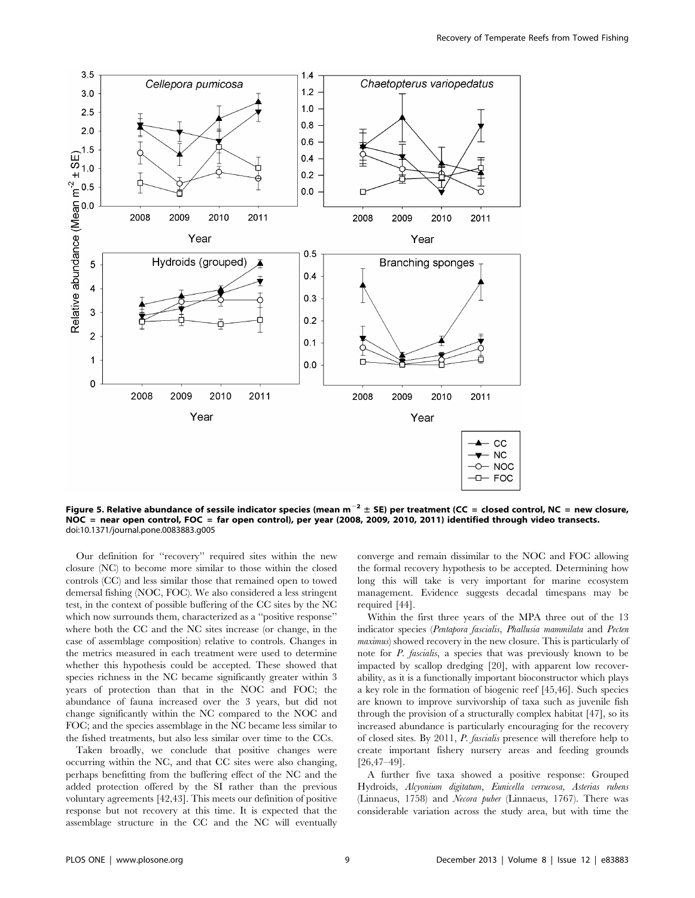

Figure 5. Relative abundance of sessile indicator species (mean  $m^{-2} \pm$  SE) per treatment (CC = closed control, NC = new closure, NOC = near open control, FOC = far open control), per year (2008, 2009, 2010, 2011) identified through video transects. doi:10.1371/journal.pone.0083883.g005

Our definition for ''recovery'' required sites within the new closure (NC) to become more similar to those within the closed controls (CC) and less similar those that remained open to towed demersal fishing (NOC, FOC). We also considered a less stringent test, in the context of possible buffering of the CC sites by the NC which now surrounds them, characterized as a ''positive response'' where both the CC and the NC sites increase (or change, in the case of assemblage composition) relative to controls. Changes in the metrics measured in each treatment were used to determine whether this hypothesis could be accepted. These showed that species richness in the NC became significantly greater within 3 years of protection than that in the NOC and FOC; the abundance of fauna increased over the 3 years, but did not change significantly within the NC compared to the NOC and FOC; and the species assemblage in the NC became less similar to the fished treatments, but also less similar over time to the CCs.

Taken broadly, we conclude that positive changes were occurring within the NC, and that CC sites were also changing, perhaps benefitting from the buffering effect of the NC and the added protection offered by the SI rather than the previous voluntary agreements [42,43]. This meets our definition of positive response but not recovery at this time. It is expected that the assemblage structure in the CC and the NC will eventually

converge and remain dissimilar to the NOC and FOC allowing the formal recovery hypothesis to be accepted. Determining how long this will take is very important for marine ecosystem management. Evidence suggests decadal timespans may be required [44].

Within the first three years of the MPA three out of the 13 indicator species (Pentapora fascialis, Phallusia mammilata and Pecten maximus) showed recovery in the new closure. This is particularly of note for P. fascialis, a species that was previously known to be impacted by scallop dredging [20], with apparent low recoverability, as it is a functionally important bioconstructor which plays a key role in the formation of biogenic reef [45,46]. Such species are known to improve survivorship of taxa such as juvenile fish through the provision of a structurally complex habitat [47], so its increased abundance is particularly encouraging for the recovery of closed sites. By 2011, P. fascialis presence will therefore help to create important fishery nursery areas and feeding grounds [26,47–49].

A further five taxa showed a positive response: Grouped Hydroids, Alcyonium digitatum, Eunicella verrucosa, Asterias rubens (Linnaeus, 1758) and Necora puber (Linnaeus, 1767). There was considerable variation across the study area, but with time the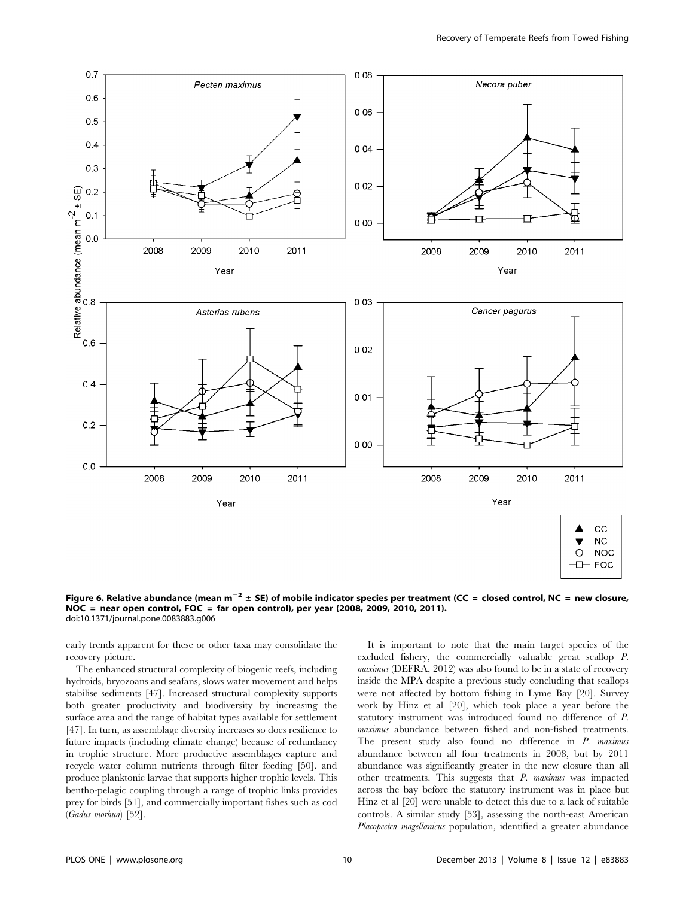

Figure 6. Relative abundance (mean m<sup>-2</sup> ± SE) of mobile indicator species per treatment (CC = closed control, NC = new closure, NOC = near open control, FOC = far open control), per year (2008, 2009, 2010, 2011). doi:10.1371/journal.pone.0083883.g006

early trends apparent for these or other taxa may consolidate the recovery picture.

The enhanced structural complexity of biogenic reefs, including hydroids, bryozoans and seafans, slows water movement and helps stabilise sediments [47]. Increased structural complexity supports both greater productivity and biodiversity by increasing the surface area and the range of habitat types available for settlement [47]. In turn, as assemblage diversity increases so does resilience to future impacts (including climate change) because of redundancy in trophic structure. More productive assemblages capture and recycle water column nutrients through filter feeding [50], and produce planktonic larvae that supports higher trophic levels. This bentho-pelagic coupling through a range of trophic links provides prey for birds [51], and commercially important fishes such as cod (Gadus morhua) [52].

It is important to note that the main target species of the excluded fishery, the commercially valuable great scallop P. maximus (DEFRA, 2012) was also found to be in a state of recovery inside the MPA despite a previous study concluding that scallops were not affected by bottom fishing in Lyme Bay [20]. Survey work by Hinz et al [20], which took place a year before the statutory instrument was introduced found no difference of P. maximus abundance between fished and non-fished treatments. The present study also found no difference in P. maximus abundance between all four treatments in 2008, but by 2011 abundance was significantly greater in the new closure than all other treatments. This suggests that  $P$ . maximus was impacted across the bay before the statutory instrument was in place but Hinz et al [20] were unable to detect this due to a lack of suitable controls. A similar study [53], assessing the north-east American Placopecten magellanicus population, identified a greater abundance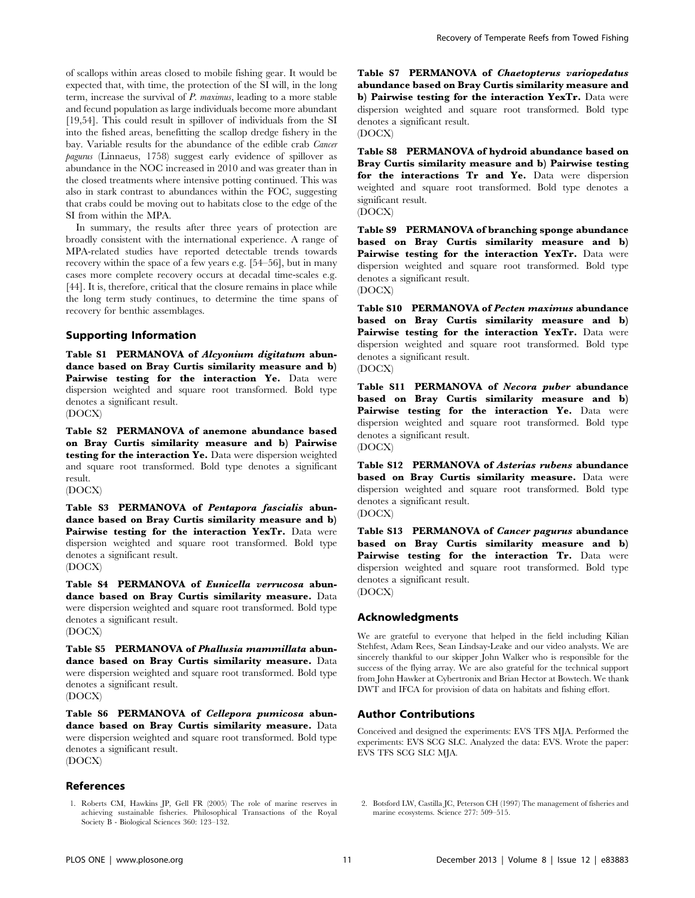of scallops within areas closed to mobile fishing gear. It would be expected that, with time, the protection of the SI will, in the long term, increase the survival of P. maximus, leading to a more stable and fecund population as large individuals become more abundant [19,54]. This could result in spillover of individuals from the SI into the fished areas, benefitting the scallop dredge fishery in the bay. Variable results for the abundance of the edible crab Cancer pagurus (Linnaeus, 1758) suggest early evidence of spillover as abundance in the NOC increased in 2010 and was greater than in the closed treatments where intensive potting continued. This was also in stark contrast to abundances within the FOC, suggesting that crabs could be moving out to habitats close to the edge of the SI from within the MPA.

In summary, the results after three years of protection are broadly consistent with the international experience. A range of MPA-related studies have reported detectable trends towards recovery within the space of a few years e.g. [54–56], but in many cases more complete recovery occurs at decadal time-scales e.g. [44]. It is, therefore, critical that the closure remains in place while the long term study continues, to determine the time spans of recovery for benthic assemblages.

# Supporting Information

Table S1 PERMANOVA of Alcyonium digitatum abundance based on Bray Curtis similarity measure and b) Pairwise testing for the interaction Ye. Data were dispersion weighted and square root transformed. Bold type denotes a significant result.

(DOCX)

Table S2 PERMANOVA of anemone abundance based on Bray Curtis similarity measure and b) Pairwise testing for the interaction Ye. Data were dispersion weighted and square root transformed. Bold type denotes a significant result.

(DOCX)

Table S3 PERMANOVA of Pentapora fascialis abundance based on Bray Curtis similarity measure and b) Pairwise testing for the interaction YexTr. Data were dispersion weighted and square root transformed. Bold type denotes a significant result.

(DOCX)

Table S4 PERMANOVA of Eunicella verrucosa abundance based on Bray Curtis similarity measure. Data were dispersion weighted and square root transformed. Bold type denotes a significant result. (DOCX)

Table S5 PERMANOVA of Phallusia mammillata abundance based on Bray Curtis similarity measure. Data were dispersion weighted and square root transformed. Bold type denotes a significant result.

(DOCX)

Table S6 PERMANOVA of Cellepora pumicosa abundance based on Bray Curtis similarity measure. Data were dispersion weighted and square root transformed. Bold type denotes a significant result. (DOCX)

#### References

Recovery of Temperate Reefs from Towed Fishing

Table S7 PERMANOVA of Chaetopterus variopedatus abundance based on Bray Curtis similarity measure and b) Pairwise testing for the interaction YexTr. Data were dispersion weighted and square root transformed. Bold type denotes a significant result.

(DOCX)

Table S8 PERMANOVA of hydroid abundance based on Bray Curtis similarity measure and b) Pairwise testing for the interactions Tr and Ye. Data were dispersion weighted and square root transformed. Bold type denotes a significant result.

(DOCX)

Table S9 PERMANOVA of branching sponge abundance based on Bray Curtis similarity measure and b) Pairwise testing for the interaction YexTr. Data were dispersion weighted and square root transformed. Bold type denotes a significant result.

(DOCX)

Table S10 PERMANOVA of Pecten maximus abundance based on Bray Curtis similarity measure and b) Pairwise testing for the interaction YexTr. Data were dispersion weighted and square root transformed. Bold type denotes a significant result. (DOCX)

Table S11 PERMANOVA of Necora puber abundance based on Bray Curtis similarity measure and b) Pairwise testing for the interaction Ye. Data were dispersion weighted and square root transformed. Bold type denotes a significant result. (DOCX)

Table S12 PERMANOVA of Asterias rubens abundance based on Bray Curtis similarity measure. Data were dispersion weighted and square root transformed. Bold type denotes a significant result.

(DOCX)

Table S13 PERMANOVA of Cancer pagurus abundance based on Bray Curtis similarity measure and b) Pairwise testing for the interaction Tr. Data were dispersion weighted and square root transformed. Bold type denotes a significant result. (DOCX)

#### Acknowledgments

We are grateful to everyone that helped in the field including Kilian Stehfest, Adam Rees, Sean Lindsay-Leake and our video analysts. We are sincerely thankful to our skipper John Walker who is responsible for the success of the flying array. We are also grateful for the technical support from John Hawker at Cybertronix and Brian Hector at Bowtech. We thank DWT and IFCA for provision of data on habitats and fishing effort.

## Author Contributions

Conceived and designed the experiments: EVS TFS MJA. Performed the experiments: EVS SCG SLC. Analyzed the data: EVS. Wrote the paper: EVS TFS SCG SLC MJA.

- 1. Roberts CM, Hawkins JP, Gell FR (2005) The role of marine reserves in achieving sustainable fisheries. Philosophical Transactions of the Royal Society B - Biological Sciences 360: 123–132.
- 2. Botsford LW, Castilla JC, Peterson CH (1997) The management of fisheries and marine ecosystems. Science 277: 509–515.